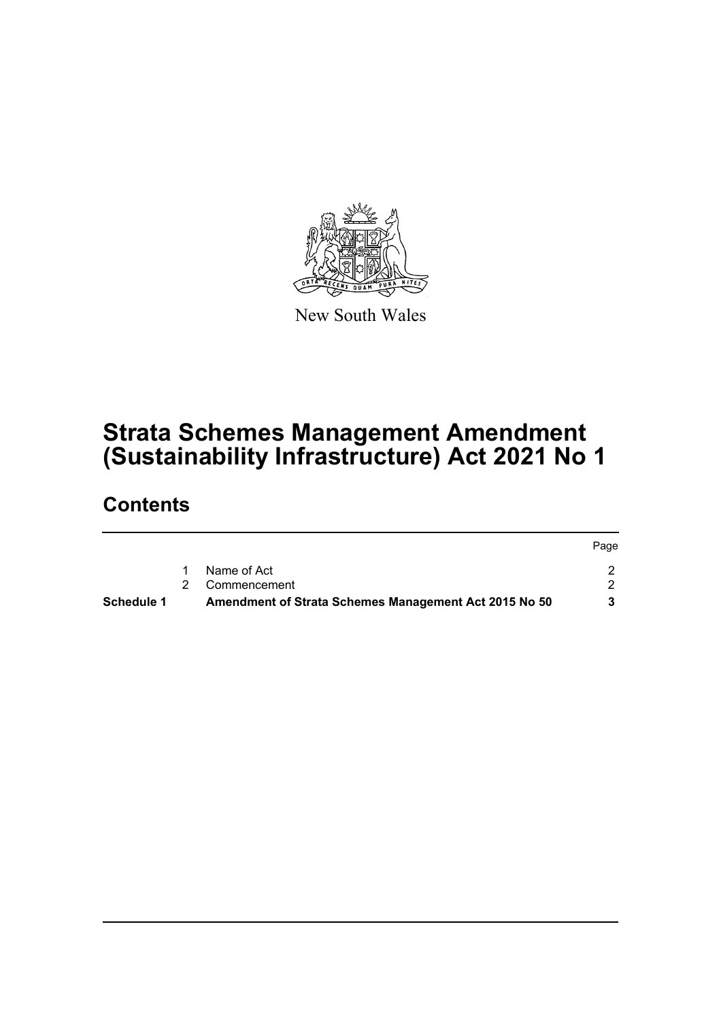

New South Wales

# **Strata Schemes Management Amendment (Sustainability Infrastructure) Act 2021 No 1**

## **Contents**

| Schedule 1 | Amendment of Strata Schemes Management Act 2015 No 50 |       |
|------------|-------------------------------------------------------|-------|
|            | 2 Commencement                                        |       |
|            | Name of Act                                           |       |
|            |                                                       | -rage |

Page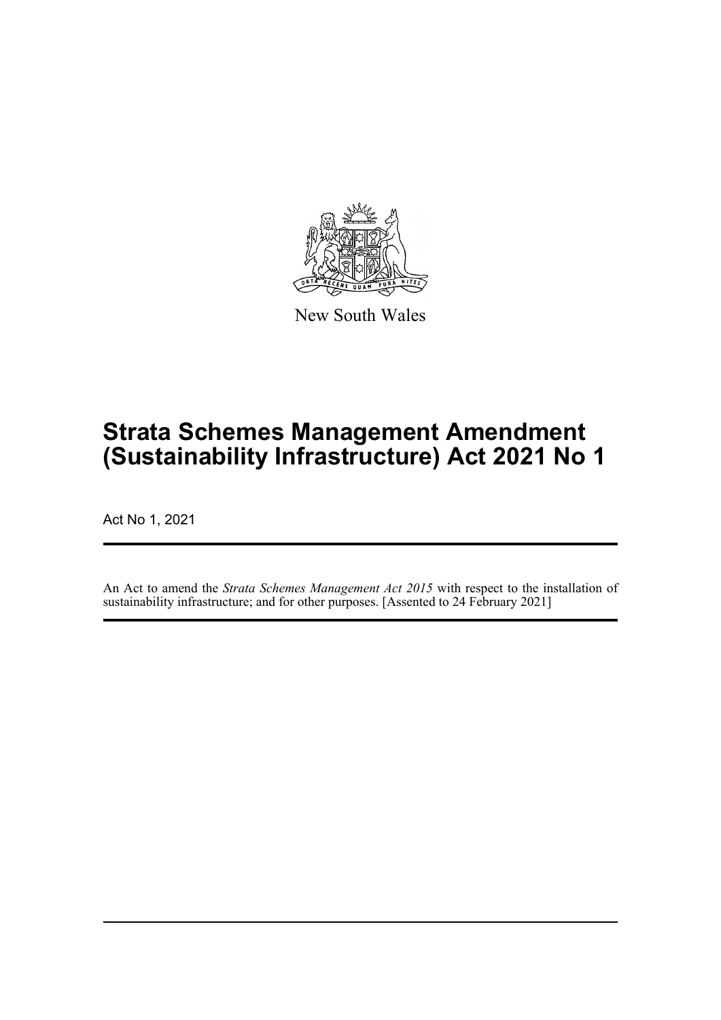

New South Wales

# **Strata Schemes Management Amendment (Sustainability Infrastructure) Act 2021 No 1**

Act No 1, 2021

An Act to amend the *Strata Schemes Management Act 2015* with respect to the installation of sustainability infrastructure; and for other purposes. [Assented to 24 February 2021]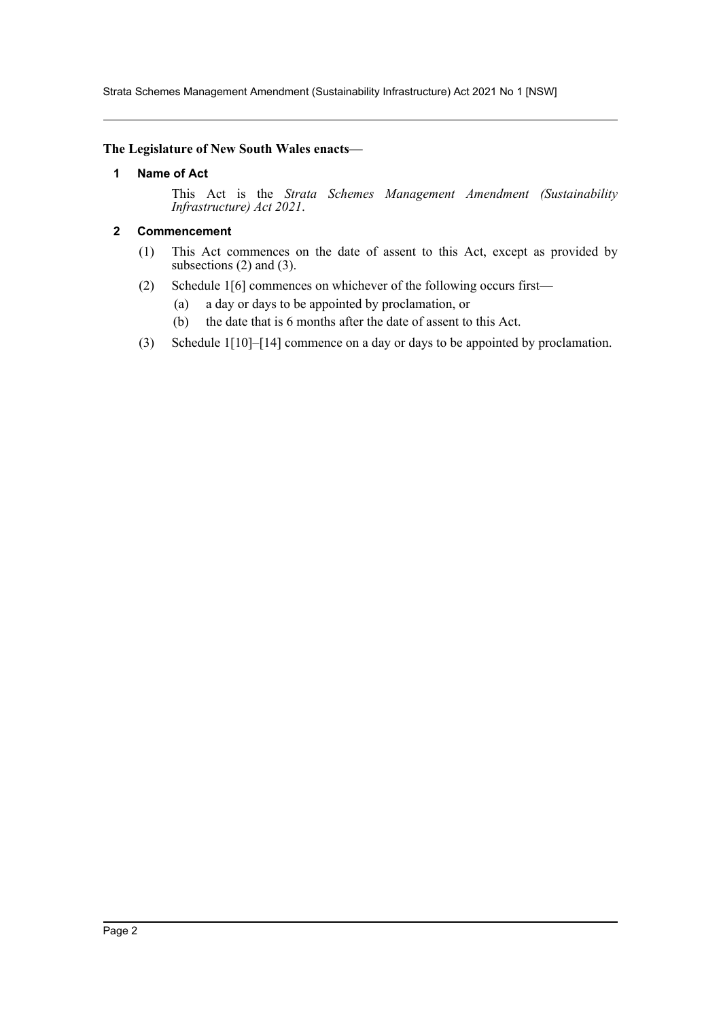Strata Schemes Management Amendment (Sustainability Infrastructure) Act 2021 No 1 [NSW]

#### **The Legislature of New South Wales enacts—**

#### **1 Name of Act**

This Act is the *Strata Schemes Management Amendment (Sustainability Infrastructure) Act 2021*.

#### **2 Commencement**

- (1) This Act commences on the date of assent to this Act, except as provided by subsections  $(2)$  and  $(3)$ .
- (2) Schedule 1[6] commences on whichever of the following occurs first—
	- (a) a day or days to be appointed by proclamation, or
	- (b) the date that is 6 months after the date of assent to this Act.
- (3) Schedule 1[10]–[14] commence on a day or days to be appointed by proclamation.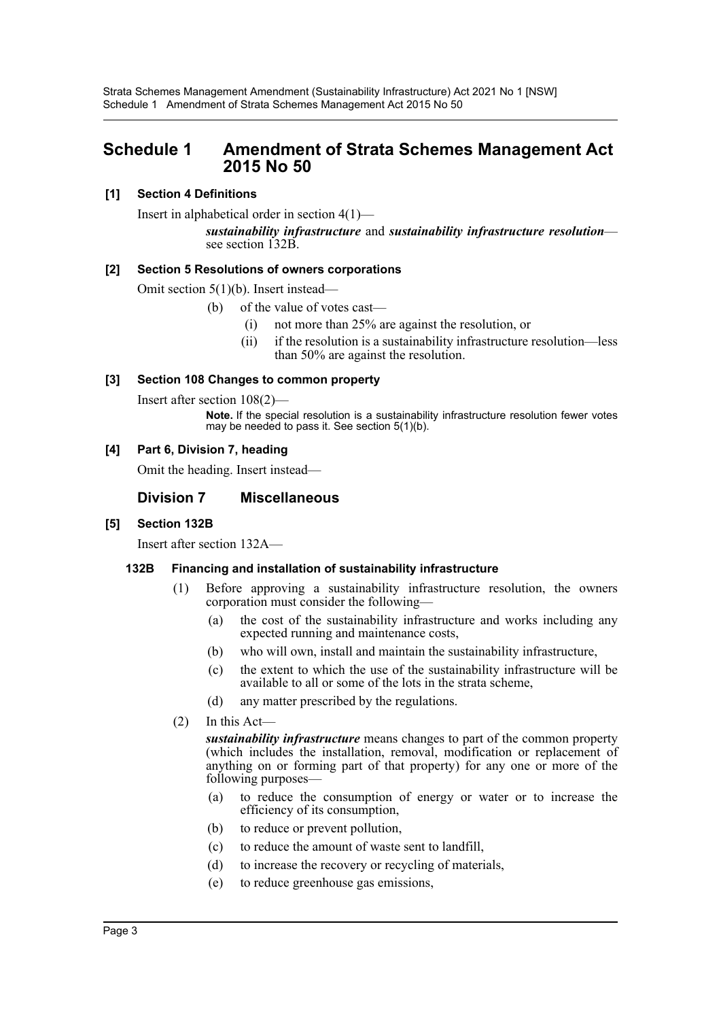### **Schedule 1 Amendment of Strata Schemes Management Act 2015 No 50**

#### **[1] Section 4 Definitions**

Insert in alphabetical order in section 4(1)—

*sustainability infrastructure* and *sustainability infrastructure resolution*— see section 132B.

#### **[2] Section 5 Resolutions of owners corporations**

Omit section 5(1)(b). Insert instead—

- (b) of the value of votes cast—
	- (i) not more than 25% are against the resolution, or
	- (ii) if the resolution is a sustainability infrastructure resolution—less than 50% are against the resolution.

#### **[3] Section 108 Changes to common property**

Insert after section 108(2)—

**Note.** If the special resolution is a sustainability infrastructure resolution fewer votes may be needed to pass it. See section 5(1)(b).

#### **[4] Part 6, Division 7, heading**

Omit the heading. Insert instead—

#### **Division 7 Miscellaneous**

#### **[5] Section 132B**

Insert after section 132A—

#### **132B Financing and installation of sustainability infrastructure**

- (1) Before approving a sustainability infrastructure resolution, the owners corporation must consider the following—
	- (a) the cost of the sustainability infrastructure and works including any expected running and maintenance costs,
	- (b) who will own, install and maintain the sustainability infrastructure,
	- (c) the extent to which the use of the sustainability infrastructure will be available to all or some of the lots in the strata scheme,
	- (d) any matter prescribed by the regulations.
- (2) In this Act—

*sustainability infrastructure* means changes to part of the common property (which includes the installation, removal, modification or replacement of anything on or forming part of that property) for any one or more of the following purposes—

- (a) to reduce the consumption of energy or water or to increase the efficiency of its consumption,
- (b) to reduce or prevent pollution,
- (c) to reduce the amount of waste sent to landfill,
- (d) to increase the recovery or recycling of materials,
- (e) to reduce greenhouse gas emissions,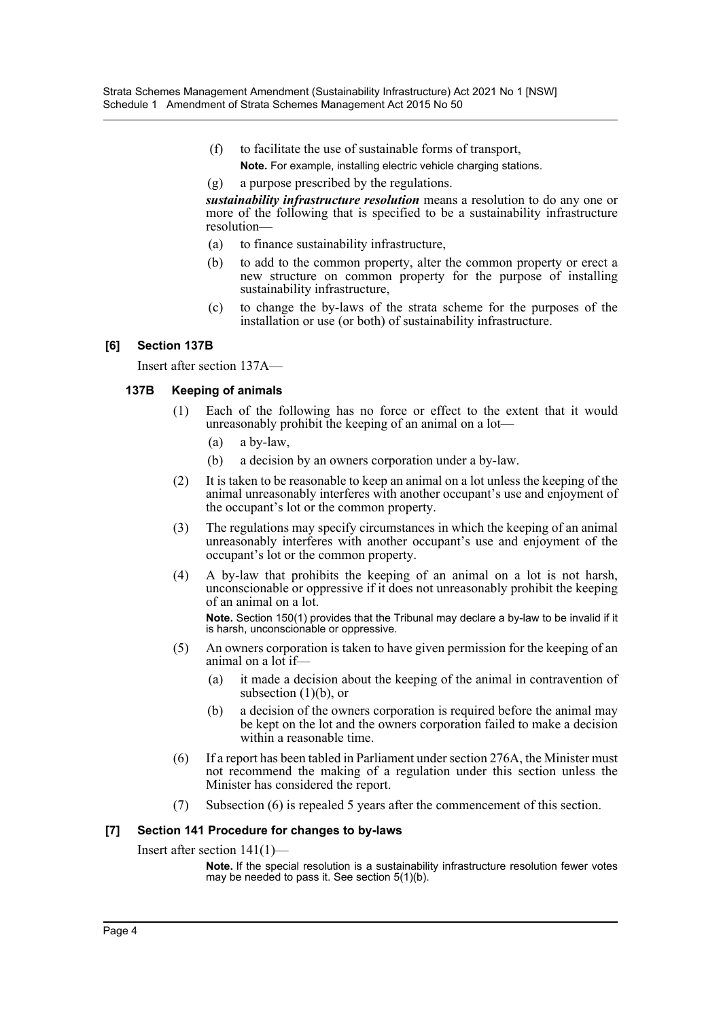- (f) to facilitate the use of sustainable forms of transport, **Note.** For example, installing electric vehicle charging stations.
- (g) a purpose prescribed by the regulations.

*sustainability infrastructure resolution* means a resolution to do any one or more of the following that is specified to be a sustainability infrastructure resolution—

- (a) to finance sustainability infrastructure,
- (b) to add to the common property, alter the common property or erect a new structure on common property for the purpose of installing sustainability infrastructure,
- (c) to change the by-laws of the strata scheme for the purposes of the installation or use (or both) of sustainability infrastructure.

#### **[6] Section 137B**

Insert after section 137A—

#### **137B Keeping of animals**

- (1) Each of the following has no force or effect to the extent that it would unreasonably prohibit the keeping of an animal on a lot—
	- (a) a by-law,
	- (b) a decision by an owners corporation under a by-law.
- (2) It is taken to be reasonable to keep an animal on a lot unless the keeping of the animal unreasonably interferes with another occupant's use and enjoyment of the occupant's lot or the common property.
- (3) The regulations may specify circumstances in which the keeping of an animal unreasonably interferes with another occupant's use and enjoyment of the occupant's lot or the common property.
- (4) A by-law that prohibits the keeping of an animal on a lot is not harsh, unconscionable or oppressive if it does not unreasonably prohibit the keeping of an animal on a lot. **Note.** Section 150(1) provides that the Tribunal may declare a by-law to be invalid if it is harsh, unconscionable or oppressive.
- (5) An owners corporation is taken to have given permission for the keeping of an animal on a lot if—
	- (a) it made a decision about the keeping of the animal in contravention of subsection  $(1)(b)$ , or
	- (b) a decision of the owners corporation is required before the animal may be kept on the lot and the owners corporation failed to make a decision within a reasonable time.
- (6) If a report has been tabled in Parliament under section 276A, the Minister must not recommend the making of a regulation under this section unless the Minister has considered the report.
- (7) Subsection (6) is repealed 5 years after the commencement of this section.

#### **[7] Section 141 Procedure for changes to by-laws**

Insert after section 141(1)—

**Note.** If the special resolution is a sustainability infrastructure resolution fewer votes may be needed to pass it. See section 5(1)(b).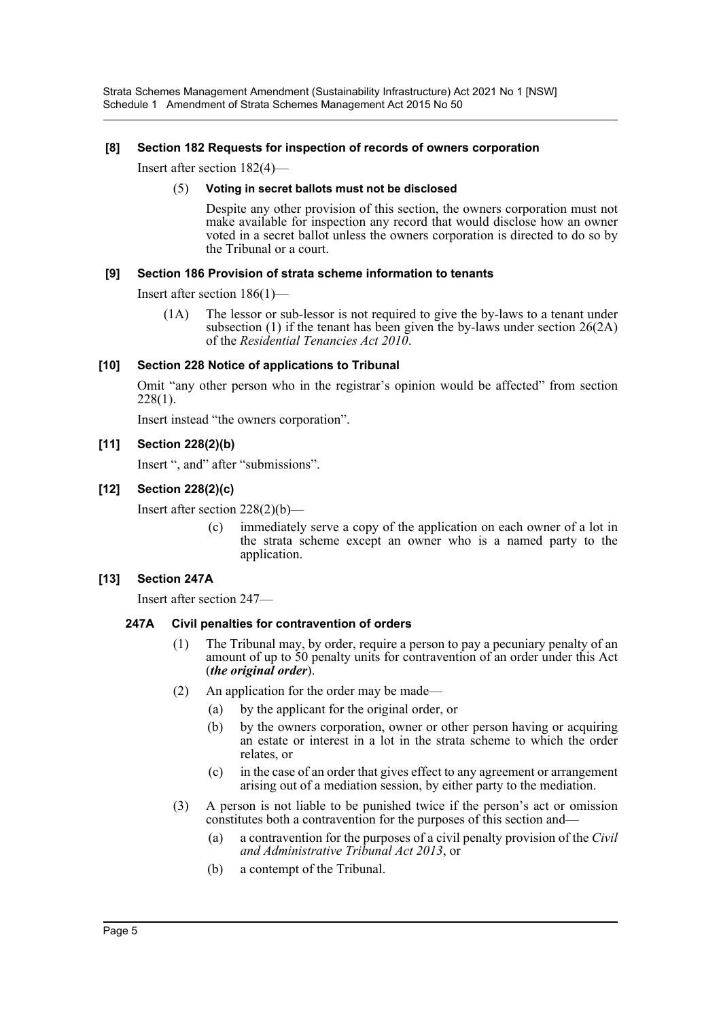Strata Schemes Management Amendment (Sustainability Infrastructure) Act 2021 No 1 [NSW] Schedule 1 Amendment of Strata Schemes Management Act 2015 No 50

#### **[8] Section 182 Requests for inspection of records of owners corporation**

Insert after section 182(4)—

#### (5) **Voting in secret ballots must not be disclosed**

Despite any other provision of this section, the owners corporation must not make available for inspection any record that would disclose how an owner voted in a secret ballot unless the owners corporation is directed to do so by the Tribunal or a court.

#### **[9] Section 186 Provision of strata scheme information to tenants**

Insert after section 186(1)—

(1A) The lessor or sub-lessor is not required to give the by-laws to a tenant under subsection (1) if the tenant has been given the by-laws under section 26(2A) of the *Residential Tenancies Act 2010*.

#### **[10] Section 228 Notice of applications to Tribunal**

Omit "any other person who in the registrar's opinion would be affected" from section 228(1).

Insert instead "the owners corporation".

#### **[11] Section 228(2)(b)**

Insert ", and" after "submissions".

#### **[12] Section 228(2)(c)**

Insert after section 228(2)(b)—

(c) immediately serve a copy of the application on each owner of a lot in the strata scheme except an owner who is a named party to the application.

#### **[13] Section 247A**

Insert after section 247—

#### **247A Civil penalties for contravention of orders**

- (1) The Tribunal may, by order, require a person to pay a pecuniary penalty of an amount of up to 50 penalty units for contravention of an order under this Act (*the original order*).
- (2) An application for the order may be made—
	- (a) by the applicant for the original order, or
	- (b) by the owners corporation, owner or other person having or acquiring an estate or interest in a lot in the strata scheme to which the order relates, or
	- (c) in the case of an order that gives effect to any agreement or arrangement arising out of a mediation session, by either party to the mediation.
- (3) A person is not liable to be punished twice if the person's act or omission constitutes both a contravention for the purposes of this section and—
	- (a) a contravention for the purposes of a civil penalty provision of the *Civil and Administrative Tribunal Act 2013*, or
	- (b) a contempt of the Tribunal.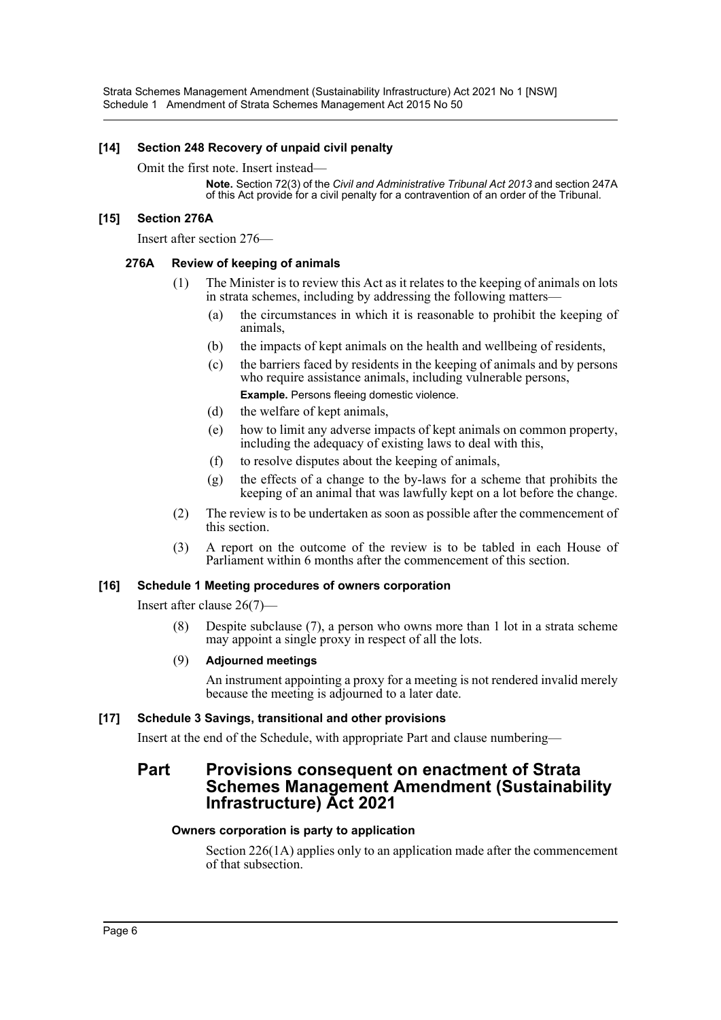Strata Schemes Management Amendment (Sustainability Infrastructure) Act 2021 No 1 [NSW] Schedule 1 Amendment of Strata Schemes Management Act 2015 No 50

#### **[14] Section 248 Recovery of unpaid civil penalty**

#### Omit the first note. Insert instead—

**Note.** Section 72(3) of the *Civil and Administrative Tribunal Act 2013* and section 247A of this Act provide for a civil penalty for a contravention of an order of the Tribunal.

#### **[15] Section 276A**

Insert after section 276—

#### **276A Review of keeping of animals**

- (1) The Minister is to review this Act as it relates to the keeping of animals on lots in strata schemes, including by addressing the following matters—
	- (a) the circumstances in which it is reasonable to prohibit the keeping of animals,
	- (b) the impacts of kept animals on the health and wellbeing of residents,
	- (c) the barriers faced by residents in the keeping of animals and by persons who require assistance animals, including vulnerable persons, **Example.** Persons fleeing domestic violence.
	- (d) the welfare of kept animals,
	- (e) how to limit any adverse impacts of kept animals on common property, including the adequacy of existing laws to deal with this,
	- (f) to resolve disputes about the keeping of animals,
	- (g) the effects of a change to the by-laws for a scheme that prohibits the keeping of an animal that was lawfully kept on a lot before the change.
- (2) The review is to be undertaken as soon as possible after the commencement of this section.
- (3) A report on the outcome of the review is to be tabled in each House of Parliament within 6 months after the commencement of this section.

#### **[16] Schedule 1 Meeting procedures of owners corporation**

Insert after clause 26(7)—

(8) Despite subclause (7), a person who owns more than 1 lot in a strata scheme may appoint a single proxy in respect of all the lots.

#### (9) **Adjourned meetings**

An instrument appointing a proxy for a meeting is not rendered invalid merely because the meeting is adjourned to a later date.

#### **[17] Schedule 3 Savings, transitional and other provisions**

Insert at the end of the Schedule, with appropriate Part and clause numbering—

### **Part Provisions consequent on enactment of Strata Schemes Management Amendment (Sustainability Infrastructure) Act 2021**

#### **Owners corporation is party to application**

Section 226(1A) applies only to an application made after the commencement of that subsection.